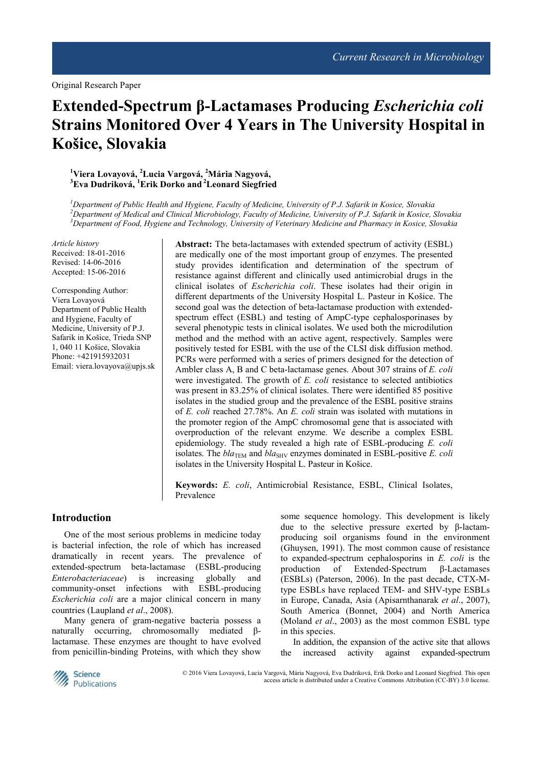# **Extended-Spectrum β-Lactamases Producing** *Escherichia coli*  **Strains Monitored Over 4 Years in The University Hospital in Košice, Slovakia**

# **<sup>1</sup>Viera Lovayová, <sup>2</sup>Lucia Vargová, <sup>2</sup>Mária Nagyová, <sup>3</sup>Eva Dudriková, <sup>1</sup>Erik Dorko and<sup>2</sup>Leonard Siegfried**

*<sup>1</sup>Department of Public Health and Hygiene, Faculty of Medicine, University of P.J. Safarik in Kosice, Slovakia <sup>2</sup>Department of Medical and Clinical Microbiology, Faculty of Medicine, University of P.J. Safarik in Kosice, Slovakia <sup>3</sup>Department of Food, Hygiene and Technology, University of Veterinary Medicine and Pharmacy in Kosice, Slovakia* 

*Article history*  Received: 18-01-2016 Revised: 14-06-2016 Accepted: 15-06-2016

Corresponding Author: Viera Lovayová Department of Public Health and Hygiene, Faculty of Medicine, University of P.J. Safarik in Košice, Trieda SNP 1, 040 11 Košice, Slovakia Phone: +421915932031 Email: viera.lovayova@upjs.sk **Abstract:** The beta-lactamases with extended spectrum of activity (ESBL) are medically one of the most important group of enzymes. The presented study provides identification and determination of the spectrum of resistance against different and clinically used antimicrobial drugs in the clinical isolates of *Escherichia coli*. These isolates had their origin in different departments of the University Hospital L. Pasteur in Košice. The second goal was the detection of beta-lactamase production with extendedspectrum effect (ESBL) and testing of AmpC-type cephalosporinases by several phenotypic tests in clinical isolates. We used both the microdilution method and the method with an active agent, respectively. Samples were positively tested for ESBL with the use of the CLSI disk diffusion method. PCRs were performed with a series of primers designed for the detection of Ambler class A, B and C beta-lactamase genes. About 307 strains of *E. coli* were investigated. The growth of *E. coli* resistance to selected antibiotics was present in 83.25% of clinical isolates. There were identified 85 positive isolates in the studied group and the prevalence of the ESBL positive strains of *E. coli* reached 27.78%. An *E. coli* strain was isolated with mutations in the promoter region of the AmpC chromosomal gene that is associated with overproduction of the relevant enzyme. We describe a complex ESBL epidemiology. The study revealed a high rate of ESBL-producing *E. coli* isolates. The  $bla_{\text{TEM}}$  and  $bla_{\text{SHV}}$  enzymes dominated in ESBL-positive *E. coli* isolates in the University Hospital L. Pasteur in Košice.

**Keywords:** *E. coli*, Antimicrobial Resistance, ESBL, Clinical Isolates, Prevalence

# **Introduction**

One of the most serious problems in medicine today is bacterial infection, the role of which has increased dramatically in recent years. The prevalence of extended-spectrum beta-lactamase (ESBL-producing *Enterobacteriaceae*) is increasing globally and community-onset infections with ESBL-producing *Escherichia coli* are a major clinical concern in many countries (Laupland *et al*., 2008).

Many genera of gram-negative bacteria possess a naturally occurring, chromosomally mediated βlactamase. These enzymes are thought to have evolved from penicillin-binding Proteins, with which they show some sequence homology. This development is likely due to the selective pressure exerted by β-lactamproducing soil organisms found in the environment (Ghuysen, 1991). The most common cause of resistance to expanded-spectrum cephalosporins in *E. coli* is the production of Extended-Spectrum β-Lactamases (ESBLs) (Paterson, 2006). In the past decade, CTX-Mtype ESBLs have replaced TEM- and SHV-type ESBLs in Europe, Canada, Asia (Apisarnthanarak *et al*., 2007), South America (Bonnet, 2004) and North America (Moland *et al*., 2003) as the most common ESBL type in this species.

In addition, the expansion of the active site that allows the increased activity against expanded-spectrum



© 2016 Viera Lovayová, Lucia Vargová, Mária Nagyová, Eva Dudriková, Erik Dorko and Leonard Siegfried. This open access article is distributed under a Creative Commons Attribution (CC-BY) 3.0 license.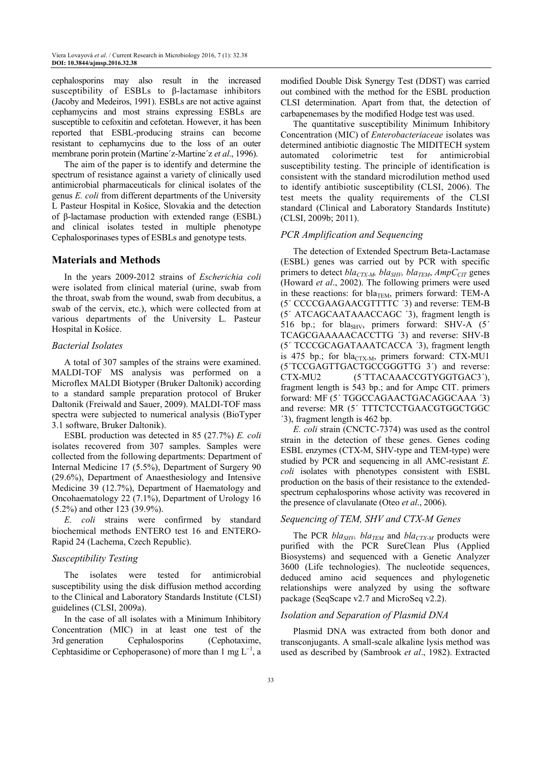cephalosporins may also result in the increased susceptibility of ESBLs to β-lactamase inhibitors (Jacoby and Medeiros, 1991). ESBLs are not active against cephamycins and most strains expressing ESBLs are susceptible to cefoxitin and cefotetan. However, it has been reported that ESBL-producing strains can become resistant to cephamycins due to the loss of an outer membrane porin protein (Martine´z-Martine´z *et al*., 1996).

The aim of the paper is to identify and determine the spectrum of resistance against a variety of clinically used antimicrobial pharmaceuticals for clinical isolates of the genus *E. coli* from different departments of the University L Pasteur Hospital in Košice, Slovakia and the detection of β-lactamase production with extended range (ESBL) and clinical isolates tested in multiple phenotype Cephalosporinases types of ESBLs and genotype tests.

# **Materials and Methods**

In the years 2009-2012 strains of *Escherichia coli* were isolated from clinical material (urine, swab from the throat, swab from the wound, swab from decubitus, a swab of the cervix, etc.), which were collected from at various departments of the University L. Pasteur Hospital in Košice.

# *Bacterial Isolates*

A total of 307 samples of the strains were examined. MALDI-TOF MS analysis was performed on a Microflex MALDI Biotyper (Bruker Daltonik) according to a standard sample preparation protocol of Bruker Daltonik (Freiwald and Sauer, 2009). MALDI-TOF mass spectra were subjected to numerical analysis (BioTyper 3.1 software, Bruker Daltonik).

ESBL production was detected in 85 (27.7%) *E. coli* isolates recovered from 307 samples. Samples were collected from the following departments: Department of Internal Medicine 17 (5.5%), Department of Surgery 90 (29.6%), Department of Anaesthesiology and Intensive Medicine 39 (12.7%), Department of Haematology and Oncohaematology 22 (7.1%), Department of Urology 16 (5.2%) and other 123 (39.9%).

*E. coli* strains were confirmed by standard biochemical methods ENTERO test 16 and ENTERO-Rapid 24 (Lachema, Czech Republic).

# *Susceptibility Testing*

The isolates were tested for antimicrobial susceptibility using the disk diffusion method according to the Clinical and Laboratory Standards Institute (CLSI) guidelines (CLSI, 2009a).

In the case of all isolates with a Minimum Inhibitory Concentration (MIC) in at least one test of the 3rd generation Cephalosporins (Cephotaxime, Cephtasidime or Cephoperasone) of more than  $1 \text{ mg } L^{-1}$ , a

modified Double Disk Synergy Test (DDST) was carried out combined with the method for the ESBL production CLSI determination. Apart from that, the detection of carbapenemases by the modified Hodge test was used.

The quantitative susceptibility Minimum Inhibitory Concentration (MIC) of *Enterobacteriaceae* isolates was determined antibiotic diagnostic The MIDITECH system automated colorimetric test for antimicrobial susceptibility testing. The principle of identification is consistent with the standard microdilution method used to identify antibiotic susceptibility (CLSI, 2006). The test meets the quality requirements of the CLSI standard (Clinical and Laboratory Standards Institute) (CLSI, 2009b; 2011).

# *PCR Amplification and Sequencing*

The detection of Extended Spectrum Beta-Lactamase (ESBL) genes was carried out by PCR with specific primers to detect *blaCTX-M, blaSHV, blaTEM*, *AmpCCIT* genes (Howard *et al*., 2002). The following primers were used in these reactions: for bla<sub>TEM</sub>, primers forward: TEM-A (5´ CCCCGAAGAACGTTTTC ´3) and reverse: TEM-B (5´ ATCAGCAATAAACCAGC ´3), fragment length is 516 bp.; for blas<sub>HV</sub>, primers forward: SHV-A  $(5)$ <sup>'</sup> TCAGCGAAAAACACCTTG ´3) and reverse: SHV-B (5´ TCCCGCAGATAAATCACCA ´3), fragment length is 475 bp.; for bla<sub>CTX-M</sub>, primers forward: CTX-MU1 (5´TCCGAGTTGACTGCCGGGTTG 3´) and reverse: CTX-MU2 (5´TTACAAACCGTYGGTGAC3´), fragment length is 543 bp.; and for Ampc CIT. primers forward: MF (5´ TGGCCAGAACTGACAGGCAAA ´3) and reverse: MR (5´ TTTCTCCTGAACGTGGCTGGC ´3), fragment length is 462 bp.

*E. coli* strain (CNCTC-7374) was used as the control strain in the detection of these genes. Genes coding ESBL enzymes (CTX-M, SHV-type and TEM-type) were studied by PCR and sequencing in all AMC-resistant *E. coli* isolates with phenotypes consistent with ESBL production on the basis of their resistance to the extendedspectrum cephalosporins whose activity was recovered in the presence of clavulanate (Oteo *et al*., 2006).

# *Sequencing of TEM, SHV and CTX-M Genes*

The PCR *blaSHV, blaTEM* and *blaCTX-M* products were purified with the PCR SureClean Plus (Applied Biosystems) and sequenced with a Genetic Analyzer 3600 (Life technologies). The nucleotide sequences, deduced amino acid sequences and phylogenetic relationships were analyzed by using the software package (SeqScape v2.7 and MicroSeq v2.2).

#### *Isolation and Separation of Plasmid DNA*

Plasmid DNA was extracted from both donor and transconjugants. A small-scale alkaline lysis method was used as described by (Sambrook *et al*., 1982). Extracted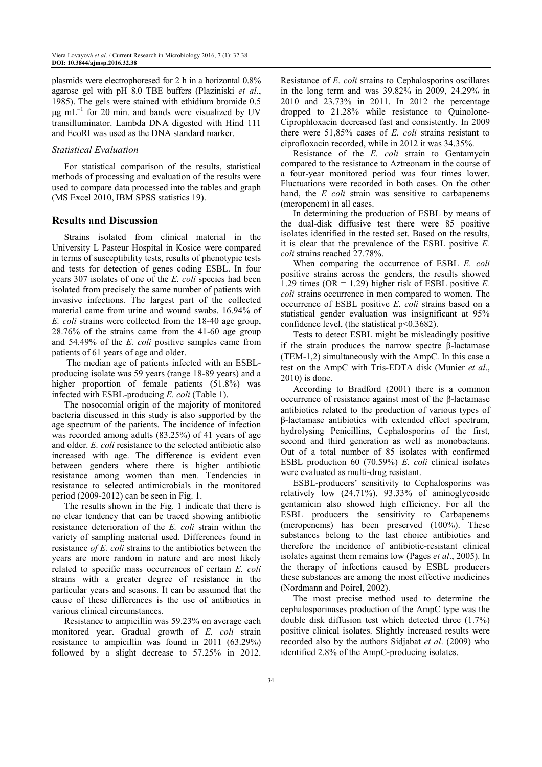plasmids were electrophoresed for 2 h in a horizontal 0.8% agarose gel with pH 8.0 TBE buffers (Plaziniski *et al*., 1985). The gels were stained with ethidium bromide 0.5 µg mL<sup>-1</sup> for 20 min. and bands were visualized by UV transilluminator. Lambda DNA digested with Hind 111 and EcoRI was used as the DNA standard marker.

### *Statistical Evaluation*

For statistical comparison of the results, statistical methods of processing and evaluation of the results were used to compare data processed into the tables and graph (MS Excel 2010, IBM SPSS statistics 19).

# **Results and Discussion**

Strains isolated from clinical material in the University L Pasteur Hospital in Kosice were compared in terms of susceptibility tests, results of phenotypic tests and tests for detection of genes coding ESBL. In four years 307 isolates of one of the *E. coli* species had been isolated from precisely the same number of patients with invasive infections. The largest part of the collected material came from urine and wound swabs. 16.94% of *E. coli* strains were collected from the 18-40 age group, 28.76% of the strains came from the 41-60 age group and 54.49% of the *E. coli* positive samples came from patients of 61 years of age and older.

 The median age of patients infected with an ESBLproducing isolate was 59 years (range 18-89 years) and a higher proportion of female patients (51.8%) was infected with ESBL-producing *E. coli* (Table 1).

The nosocomial origin of the majority of monitored bacteria discussed in this study is also supported by the age spectrum of the patients. The incidence of infection was recorded among adults (83.25%) of 41 years of age and older. *E. coli* resistance to the selected antibiotic also increased with age. The difference is evident even between genders where there is higher antibiotic resistance among women than men. Tendencies in resistance to selected antimicrobials in the monitored period (2009-2012) can be seen in Fig. 1.

The results shown in the Fig. 1 indicate that there is no clear tendency that can be traced showing antibiotic resistance deterioration of the *E. coli* strain within the variety of sampling material used. Differences found in resistance *of E. coli* strains to the antibiotics between the years are more random in nature and are most likely related to specific mass occurrences of certain *E. coli* strains with a greater degree of resistance in the particular years and seasons. It can be assumed that the cause of these differences is the use of antibiotics in various clinical circumstances.

Resistance to ampicillin was 59.23% on average each monitored year. Gradual growth of *E. coli* strain resistance to ampicillin was found in 2011 (63.29%) followed by a slight decrease to 57.25% in 2012.

Resistance of *E. coli* strains to Cephalosporins oscillates in the long term and was 39.82% in 2009, 24.29% in 2010 and 23.73% in 2011. In 2012 the percentage dropped to 21.28% while resistance to Quinolone-Ciprophloxacin decreased fast and consistently. In 2009 there were 51,85% cases of *E. coli* strains resistant to ciprofloxacin recorded, while in 2012 it was 34.35%.

Resistance of the *E. coli* strain to Gentamycin compared to the resistance to Aztreonam in the course of a four-year monitored period was four times lower. Fluctuations were recorded in both cases. On the other hand, the *E coli* strain was sensitive to carbapenems (meropenem) in all cases.

In determining the production of ESBL by means of the dual-disk diffusive test there were 85 positive isolates identified in the tested set. Based on the results, it is clear that the prevalence of the ESBL positive *E. coli* strains reached 27.78%.

When comparing the occurrence of ESBL *E. coli* positive strains across the genders, the results showed 1.29 times (OR = 1.29) higher risk of ESBL positive *E. coli* strains occurrence in men compared to women. The occurrence of ESBL positive *E. coli* strains based on a statistical gender evaluation was insignificant at 95% confidence level, (the statistical p<0.3682).

Tests to detect ESBL might be misleadingly positive if the strain produces the narrow spectre β-lactamase (TEM-1,2) simultaneously with the AmpC. In this case a test on the AmpC with Tris-EDTA disk (Munier *et al*., 2010) is done.

According to Bradford (2001) there is a common occurrence of resistance against most of the β-lactamase antibiotics related to the production of various types of β-lactamase antibiotics with extended effect spectrum, hydrolysing Penicillins, Cephalosporins of the first, second and third generation as well as monobactams. Out of a total number of 85 isolates with confirmed ESBL production 60 (70.59%) *E. coli* clinical isolates were evaluated as multi-drug resistant.

ESBL-producers' sensitivity to Cephalosporins was relatively low (24.71%). 93.33% of aminoglycoside gentamicin also showed high efficiency. For all the ESBL producers the sensitivity to Carbapenems (meropenems) has been preserved (100%). These substances belong to the last choice antibiotics and therefore the incidence of antibiotic-resistant clinical isolates against them remains low (Pages *et al*., 2005). In the therapy of infections caused by ESBL producers these substances are among the most effective medicines (Nordmann and Poirel, 2002).

The most precise method used to determine the cephalosporinases production of the AmpC type was the double disk diffusion test which detected three (1.7%) positive clinical isolates. Slightly increased results were recorded also by the authors Sidjabat *et al*. (2009) who identified 2.8% of the AmpC-producing isolates.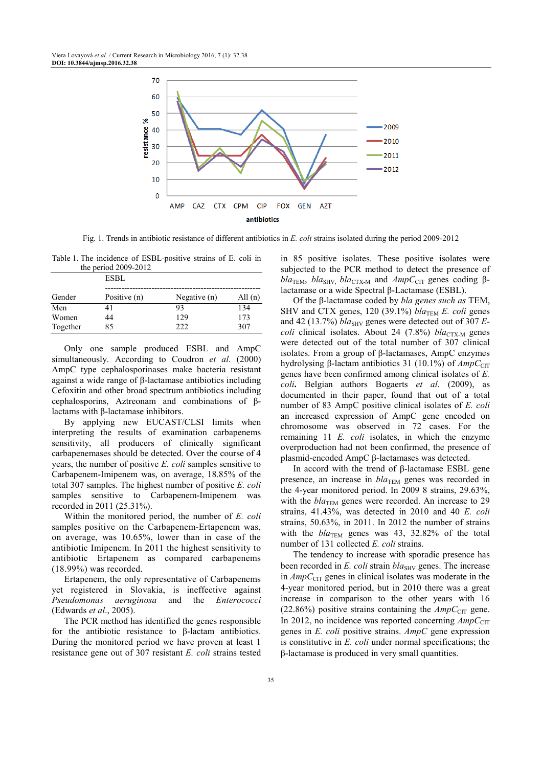

Fig. 1. Trends in antibiotic resistance of different antibiotics in *E. coli* strains isolated during the period 2009-2012

Table 1. The incidence of ESBL-positive strains of E. coli in the period 2009-2012

|          | ESBL         |                |           |  |
|----------|--------------|----------------|-----------|--|
| Gender   | Positive (n) | Negative $(n)$ | All $(n)$ |  |
| Men      | 41           | 93             | 134       |  |
| Women    | 44           | 129            | 173       |  |
| Together | 85           | つつつ            | 307       |  |

Only one sample produced ESBL and AmpC simultaneously. According to Coudron *et al*. (2000) AmpC type cephalosporinases make bacteria resistant against a wide range of β-lactamase antibiotics including Cefoxitin and other broad spectrum antibiotics including cephalosporins, Aztreonam and combinations of βlactams with β-lactamase inhibitors.

By applying new EUCAST/CLSI limits when interpreting the results of examination carbapenems sensitivity, all producers of clinically significant carbapenemases should be detected. Over the course of 4 years, the number of positive *E. coli* samples sensitive to Carbapenem-Imipenem was, on average, 18.85% of the total 307 samples. The highest number of positive *E. coli* samples sensitive to Carbapenem-Imipenem was recorded in 2011 (25.31%).

Within the monitored period, the number of *E. coli* samples positive on the Carbapenem-Ertapenem was, on average, was 10.65%, lower than in case of the antibiotic Imipenem. In 2011 the highest sensitivity to antibiotic Ertapenem as compared carbapenems (18.99%) was recorded.

Ertapenem, the only representative of Carbapenems yet registered in Slovakia, is ineffective against *Pseudomonas aeruginosa* and the *Enterococci* (Edwards *et al*., 2005).

The PCR method has identified the genes responsible for the antibiotic resistance to β-lactam antibiotics. During the monitored period we have proven at least 1 resistance gene out of 307 resistant *E. coli* strains tested in 85 positive isolates. These positive isolates were subjected to the PCR method to detect the presence of  $bla_{\text{TEM}}$ ,  $bla_{\text{SHV}}$ ,  $bla_{\text{CTX-M}}$  and  $AmpC_{\text{CTT}}$  genes coding  $\beta$ lactamase or a wide Spectral β-Lactamase (ESBL).

Of the β-lactamase coded by *bla genes such as* TEM, SHV and CTX genes,  $120$  (39.1%) *bla*<sub>TEM</sub> *E. coli* genes and 42 (13.7%)  $bla_{SHV}$  genes were detected out of 307  $E$ *coli* clinical isolates. About 24 (7.8%) *bla*<sub>CTX-M</sub> genes were detected out of the total number of 307 clinical isolates. From a group of β-lactamases, AmpC enzymes hydrolysing β-lactam antibiotics 31 (10.1%) of *AmpC*<sub>CIT</sub> genes have been confirmed among clinical isolates of *E. coli***.** Belgian authors Bogaerts *et al*. (2009), as documented in their paper, found that out of a total number of 83 AmpC positive clinical isolates of *E. coli* an increased expression of AmpC gene encoded on chromosome was observed in 72 cases. For the remaining 11 *E. coli* isolates, in which the enzyme overproduction had not been confirmed, the presence of plasmid-encoded AmpC β-lactamases was detected.

In accord with the trend of β-lactamase ESBL gene presence, an increase in *bla*TEM genes was recorded in the 4-year monitored period. In 2009 8 strains, 29.63%, with the  $bla_{\text{TEM}}$  genes were recorded. An increase to 29 strains, 41.43%, was detected in 2010 and 40 *E. coli* strains, 50.63%, in 2011. In 2012 the number of strains with the  $bla_{\text{TEM}}$  genes was 43, 32.82% of the total number of 131 collected *E. coli* strains.

The tendency to increase with sporadic presence has been recorded in *E. coli* strain *bla*<sub>SHV</sub> genes. The increase in *AmpC*<sub>CIT</sub> genes in clinical isolates was moderate in the 4-year monitored period, but in 2010 there was a great increase in comparison to the other years with 16  $(22.86\%)$  positive strains containing the  $AmpC<sub>CIT</sub>$  gene. In 2012, no incidence was reported concerning  $AmpC_{\text{CIT}}$ genes in *E. coli* positive strains. *AmpC* gene expression is constitutive in *E. coli* under normal specifications; the β-lactamase is produced in very small quantities.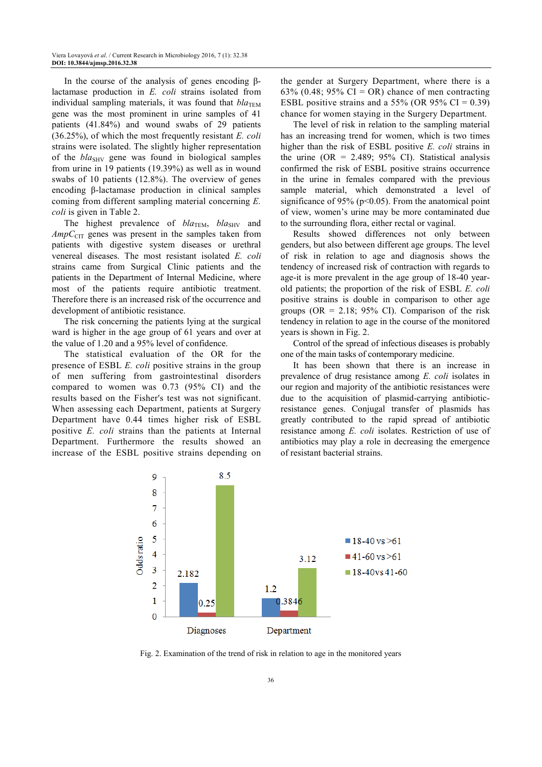In the course of the analysis of genes encoding βlactamase production in *E. coli* strains isolated from individual sampling materials, it was found that  $bla_{\text{TEM}}$ gene was the most prominent in urine samples of 41 patients (41.84%) and wound swabs of 29 patients (36.25%), of which the most frequently resistant *E. coli*  strains were isolated. The slightly higher representation of the *bla*<sub>SHV</sub> gene was found in biological samples from urine in 19 patients (19.39%) as well as in wound swabs of 10 patients (12.8%). The overview of genes encoding β-lactamase production in clinical samples coming from different sampling material concerning *E. coli* is given in Table 2.

The highest prevalence of  $bla_{\text{TEM}}, bla_{\text{SHV}}$  and *AmpC*<sub>CIT</sub> genes was present in the samples taken from patients with digestive system diseases or urethral venereal diseases. The most resistant isolated *E. coli*  strains came from Surgical Clinic patients and the patients in the Department of Internal Medicine, where most of the patients require antibiotic treatment. Therefore there is an increased risk of the occurrence and development of antibiotic resistance.

The risk concerning the patients lying at the surgical ward is higher in the age group of 61 years and over at the value of 1.20 and a 95% level of confidence.

The statistical evaluation of the OR for the presence of ESBL *E. coli* positive strains in the group of men suffering from gastrointestinal disorders compared to women was 0.73 (95% CI) and the results based on the Fisher's test was not significant. When assessing each Department, patients at Surgery Department have 0.44 times higher risk of ESBL positive *E. coli* strains than the patients at Internal Department. Furthermore the results showed an increase of the ESBL positive strains depending on

the gender at Surgery Department, where there is a 63% (0.48; 95% CI = OR) chance of men contracting ESBL positive strains and a 55% (OR 95% CI =  $0.39$ ) chance for women staying in the Surgery Department.

The level of risk in relation to the sampling material has an increasing trend for women, which is two times higher than the risk of ESBL positive *E. coli* strains in the urine (OR =  $2.489$ ;  $95\%$  CI). Statistical analysis confirmed the risk of ESBL positive strains occurrence in the urine in females compared with the previous sample material, which demonstrated a level of significance of 95% ( $p<0.05$ ). From the anatomical point of view, women's urine may be more contaminated due to the surrounding flora, either rectal or vaginal.

Results showed differences not only between genders, but also between different age groups. The level of risk in relation to age and diagnosis shows the tendency of increased risk of contraction with regards to age-it is more prevalent in the age group of 18-40 yearold patients; the proportion of the risk of ESBL *E. coli* positive strains is double in comparison to other age groups (OR = 2.18; 95% CI). Comparison of the risk tendency in relation to age in the course of the monitored years is shown in Fig. 2.

Control of the spread of infectious diseases is probably one of the main tasks of contemporary medicine.

It has been shown that there is an increase in prevalence of drug resistance among *E. coli* isolates in our region and majority of the antibiotic resistances were due to the acquisition of plasmid-carrying antibioticresistance genes. Conjugal transfer of plasmids has greatly contributed to the rapid spread of antibiotic resistance among *E. coli* isolates. Restriction of use of antibiotics may play a role in decreasing the emergence of resistant bacterial strains.



Fig. 2. Examination of the trend of risk in relation to age in the monitored years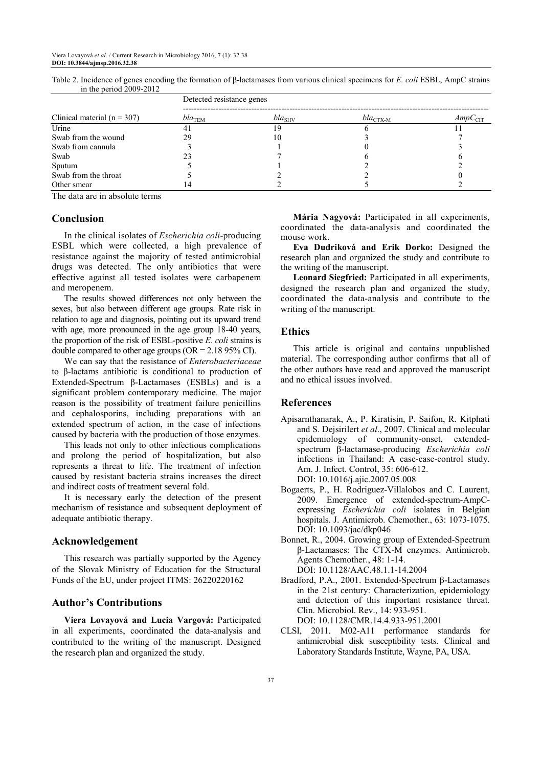|                                 | Detected resistance genes |                    |                      |                     |  |
|---------------------------------|---------------------------|--------------------|----------------------|---------------------|--|
| Clinical material ( $n = 307$ ) | $bla_{\text{TEM}}$        | $bla_{\text{SHV}}$ | $bla_{\text{CTX-M}}$ | AmpC <sub>CIT</sub> |  |
| Urine                           | 41                        | Y                  |                      |                     |  |
| Swab from the wound             | 29                        | 10                 |                      |                     |  |
| Swab from cannula               |                           |                    |                      |                     |  |
| Swab                            | 23                        |                    |                      |                     |  |
| Sputum                          |                           |                    |                      |                     |  |
| Swab from the throat            |                           |                    |                      |                     |  |
| Other smear                     |                           |                    |                      |                     |  |

Table 2. Incidence of genes encoding the formation of β-lactamases from various clinical specimens for *E. coli* ESBL, AmpC strains in the period 2009-2012

The data are in absolute terms

# **Conclusion**

In the clinical isolates of *Escherichia coli*-producing ESBL which were collected, a high prevalence of resistance against the majority of tested antimicrobial drugs was detected. The only antibiotics that were effective against all tested isolates were carbapenem and meropenem.

The results showed differences not only between the sexes, but also between different age groups. Rate risk in relation to age and diagnosis, pointing out its upward trend with age, more pronounced in the age group 18-40 years, the proportion of the risk of ESBL-positive *E. coli* strains is double compared to other age groups ( $OR = 2.1895\%$  CI).

We can say that the resistance of *Enterobacteriaceae* to β-lactams antibiotic is conditional to production of Extended-Spectrum β-Lactamases (ESBLs) and is a significant problem contemporary medicine. The major reason is the possibility of treatment failure penicillins and cephalosporins, including preparations with an extended spectrum of action, in the case of infections caused by bacteria with the production of those enzymes.

This leads not only to other infectious complications and prolong the period of hospitalization, but also represents a threat to life. The treatment of infection caused by resistant bacteria strains increases the direct and indirect costs of treatment several fold.

It is necessary early the detection of the present mechanism of resistance and subsequent deployment of adequate antibiotic therapy.

#### **Acknowledgement**

This research was partially supported by the Agency of the Slovak Ministry of Education for the Structural Funds of the EU, under project ITMS: 26220220162

#### **Author's Contributions**

**Viera Lovayová and Lucia Vargová:** Participated in all experiments, coordinated the data-analysis and contributed to the writing of the manuscript. Designed the research plan and organized the study.

**Mária Nagyová:** Participated in all experiments, coordinated the data-analysis and coordinated the mouse work.

**Eva Dudriková and Erik Dorko:** Designed the research plan and organized the study and contribute to the writing of the manuscript.

**Leonard Siegfried:** Participated in all experiments, designed the research plan and organized the study, coordinated the data-analysis and contribute to the writing of the manuscript.

#### **Ethics**

This article is original and contains unpublished material. The corresponding author confirms that all of the other authors have read and approved the manuscript and no ethical issues involved.

#### **References**

- Apisarnthanarak, A., P. Kiratisin, P. Saifon, R. Kitphati and S. Dejsirilert *et al*., 2007. Clinical and molecular epidemiology of community-onset, extendedspectrum β-lactamase-producing *Escherichia coli* infections in Thailand: A case-case-control study. Am. J. Infect. Control, 35: 606-612. DOI: 10.1016/j.ajic.2007.05.008
- Bogaerts, P., H. Rodriguez-Villalobos and C. Laurent, 2009. Emergence of extended-spectrum-AmpCexpressing *Escherichia coli* isolates in Belgian hospitals. J. Antimicrob. Chemother., 63: 1073-1075. DOI: 10.1093/jac/dkp046
- Bonnet, R., 2004. Growing group of Extended-Spectrum β-Lactamases: The CTX-M enzymes. Antimicrob. Agents Chemother., 48: 1-14. DOI: 10.1128/AAC.48.1.1-14.2004
- Bradford, P.A., 2001. Extended-Spectrum β-Lactamases in the 21st century: Characterization, epidemiology and detection of this important resistance threat. Clin. Microbiol. Rev., 14: 933-951. DOI: 10.1128/CMR.14.4.933-951.2001
- CLSI, 2011. M02-A11 performance standards for antimicrobial disk susceptibility tests. Clinical and Laboratory Standards Institute, Wayne, PA, USA.